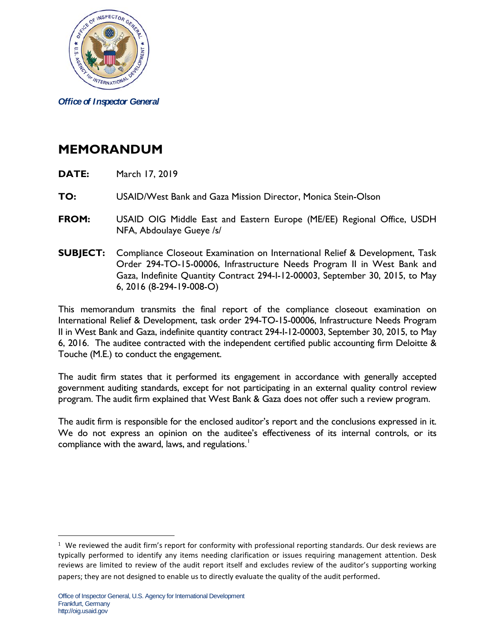

*Office of Inspector General*

## **MEMORANDUM**

- **DATE:** March 17, 2019
- **TO:** USAID/West Bank and Gaza Mission Director, Monica Stein-Olson
- **FROM:** USAID OIG Middle East and Eastern Europe (ME/EE) Regional Office, USDH NFA, Abdoulaye Gueye /s/
- **SUBJECT:** Compliance Closeout Examination on International Relief & Development, Task Order 294-TO-15-00006, Infrastructure Needs Program II in West Bank and Gaza, Indefinite Quantity Contract 294-I-12-00003, September 30, 2015, to May 6, 2016 (8-294-19-008-O)

This memorandum transmits the final report of the compliance closeout examination on International Relief & Development, task order 294-TO-15-00006, Infrastructure Needs Program II in West Bank and Gaza, indefinite quantity contract 294-I-12-00003, September 30, 2015, to May 6, 2016. The auditee contracted with the independent certified public accounting firm Deloitte & Touche (M.E.) to conduct the engagement.

The audit firm states that it performed its engagement in accordance with generally accepted government auditing standards, except for not participating in an external quality control review program. The audit firm explained that West Bank & Gaza does not offer such a review program.

The audit firm is responsible for the enclosed auditor's report and the conclusions expressed in it. We do not express an opinion on the auditee's effectiveness of its internal controls, or its compliance with the award, laws, and regulations.<sup>[1](#page-0-0)</sup>

 $\overline{a}$ 

<span id="page-0-0"></span> $1$  We reviewed the audit firm's report for conformity with professional reporting standards. Our desk reviews are typically performed to identify any items needing clarification or issues requiring management attention. Desk reviews are limited to review of the audit report itself and excludes review of the auditor's supporting working papers; they are not designed to enable us to directly evaluate the quality of the audit performed.